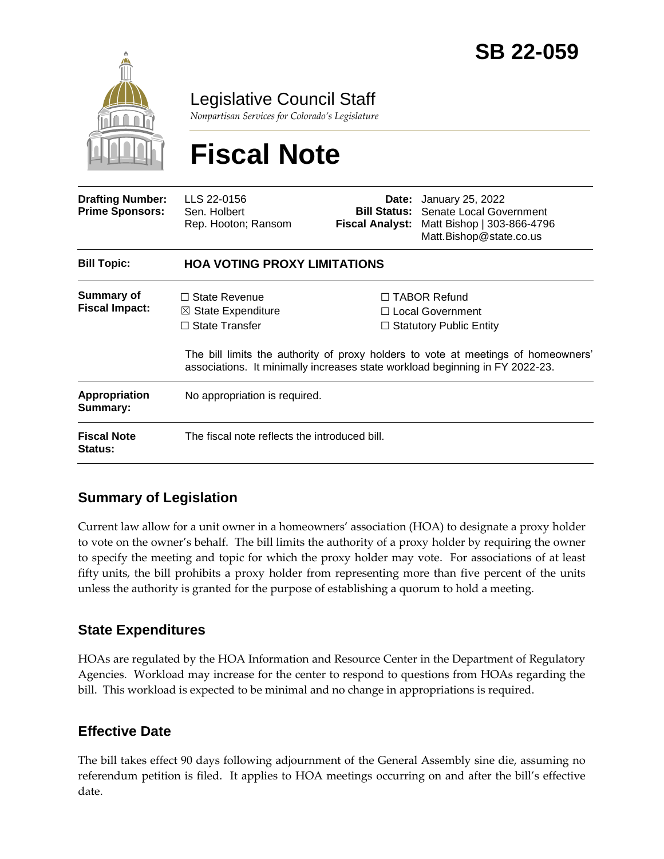

Legislative Council Staff

*Nonpartisan Services for Colorado's Legislature*

# **Fiscal Note**

| <b>Drafting Number:</b><br><b>Prime Sponsors:</b> | LLS 22-0156<br>Sen. Holbert<br>Rep. Hooton; Ransom                             | <b>Fiscal Analyst:</b> | <b>Date:</b> January 25, 2022<br><b>Bill Status:</b> Senate Local Government<br>Matt Bishop   303-866-4796<br>Matt.Bishop@state.co.us                                                                                                                 |
|---------------------------------------------------|--------------------------------------------------------------------------------|------------------------|-------------------------------------------------------------------------------------------------------------------------------------------------------------------------------------------------------------------------------------------------------|
| <b>Bill Topic:</b>                                | <b>HOA VOTING PROXY LIMITATIONS</b>                                            |                        |                                                                                                                                                                                                                                                       |
| Summary of<br><b>Fiscal Impact:</b>               | $\Box$ State Revenue<br>$\boxtimes$ State Expenditure<br>$\Box$ State Transfer |                        | $\Box$ TABOR Refund<br>$\Box$ Local Government<br>$\Box$ Statutory Public Entity<br>The bill limits the authority of proxy holders to vote at meetings of homeowners'<br>associations. It minimally increases state workload beginning in FY 2022-23. |
| <b>Appropriation</b><br>Summary:                  | No appropriation is required.                                                  |                        |                                                                                                                                                                                                                                                       |
| <b>Fiscal Note</b><br><b>Status:</b>              | The fiscal note reflects the introduced bill.                                  |                        |                                                                                                                                                                                                                                                       |

### **Summary of Legislation**

Current law allow for a unit owner in a homeowners' association (HOA) to designate a proxy holder to vote on the owner's behalf. The bill limits the authority of a proxy holder by requiring the owner to specify the meeting and topic for which the proxy holder may vote. For associations of at least fifty units, the bill prohibits a proxy holder from representing more than five percent of the units unless the authority is granted for the purpose of establishing a quorum to hold a meeting.

### **State Expenditures**

HOAs are regulated by the HOA Information and Resource Center in the Department of Regulatory Agencies. Workload may increase for the center to respond to questions from HOAs regarding the bill. This workload is expected to be minimal and no change in appropriations is required.

### **Effective Date**

The bill takes effect 90 days following adjournment of the General Assembly sine die, assuming no referendum petition is filed. It applies to HOA meetings occurring on and after the bill's effective date.